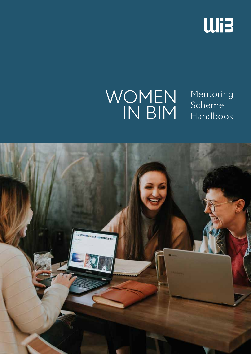

### WOMEN IN BIM

Mentoring Scheme Handbook

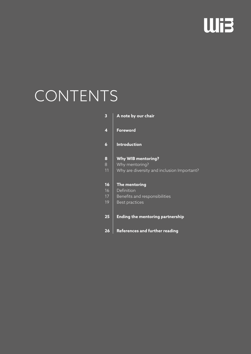# **Wi3**

## CONTENTS

| 3  | A note by our chair                        |
|----|--------------------------------------------|
| 4  | <b>Foreword</b>                            |
| 6  | <b>Introduction</b>                        |
| 8  | <b>Why WIB mentoring?</b>                  |
| 8  | Why mentoring?                             |
| 11 | Why are diversity and inclusion Important? |
| 16 | The mentoring                              |
| 16 | Definition                                 |
| 17 | Benefits and responsibilities              |
| 19 | <b>Best practices</b>                      |
| 25 | Ending the mentoring partnership           |
| 26 | <b>References and further reading</b>      |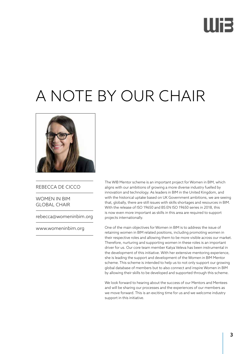# Illi3

## A NOTE BY OUR CHAIR



### REBECCA DE CICCO

WOMEN IN BIM GLOBAL CHAIR

rebecca@womeninbim.org

www.womeninbim.org

The WIB Mentor scheme is an important project for Women in BIM, which aligns with our ambitions of growing a more diverse industry fuelled by innovation and technology. As leaders in BIM in the United Kingdom, and with the historical uptake based on UK Government ambitions, we are seeing that, globally, there are still issues with skills shortages and resources in BIM. With the release of ISO 19650 and BS EN ISO 19650 series in 2018, this is now even more important as skills in this area are required to support projects internationally.

One of the main objectives for Women in BIM is to address the issue of retaining women in BIM related positions, including promoting women in their respective roles and allowing them to be more visible across our market. Therefore, nurturing and supporting women in these roles is an important driver for us. Our core team member Katya Veleva has been instrumental in the development of this initiative. With her extensive mentoring experience, she is leading the support and development of the Women in BIM Mentor scheme. This scheme is intended to help us to not only support our growing global database of members but to also connect and inspire Women in BIM by allowing their skills to be developed and supported through this scheme.

We look forward to hearing about the success of our Mentors and Mentees and will be sharing our processes and the experiences of our members as we move forward. This is an exciting time for us and we welcome industry support in this initiative.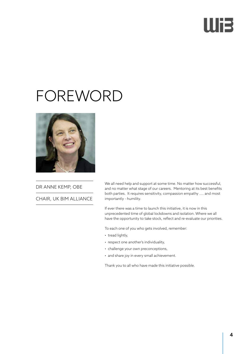# IIIE

### FOREWORD



DR ANNE KEMP, OBE

CHAIR, UK BIM ALLIANCE

We all need help and support at some time. No matter how successful, and no matter what stage of our careers. Mentoring at its best benefits both parties. It requires sensitivity, compassion empathy .... and most importantly - humility.

If ever there was a time to launch this initiative, it is now in this unprecedented time of global lockdowns and isolation. Where we all have the opportunity to take stock, reflect and re-evaluate our priorities.

To each one of you who gets involved, remember:

- tread lightly,
- respect one another's individuality,
- challenge your own preconceptions,
- and share joy in every small achievement.

Thank you to all who have made this initiative possible.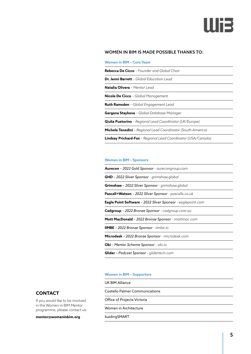

#### WOMEN IN BIM IS MADE POSSIBLE THANKS TO:

**Women in BIM – Core Team**

| <b>Rebecca De Cicco</b> - Founder and Global Chair                   |  |  |
|----------------------------------------------------------------------|--|--|
| <b>Dr. Jenni Barrett</b> - Global Education Lead                     |  |  |
| Natalia Olivera - Mentor Lead                                        |  |  |
| <b>Nicole De Cicco</b> - Global Management                           |  |  |
| <b>Ruth Ramsden</b> - Global Engagement Lead                         |  |  |
| Gergana Staykova - Global Database Manager                           |  |  |
| <b>Giulia Pustorino</b> - Regional Lead Coordinator (UK/Europe)      |  |  |
| <b>Michele Tenedini</b> - Regional Lead Coordinator (South America)  |  |  |
| <b>Lindsay Prichard-Fox</b> - Regional Lead Coordinator (USA/Canada) |  |  |

#### **Women in BIM – Sponsors**

**Aurecon** *– 2022 Gold Sponsor - aurecongroup.com*

**GHD** *– 2022 Sliver Sponsor - grimshaw.global*

**Grimshaw** *– 2022 Sliver Sponsor - grimshaw.global*

**Pascall+Watson** *– 2022 Sliver Sponsor - pascalls.co.uk*

**Eagle Point Software** *– 2022 Sliver Sponsor - eaglepoint.com*

**Cadgroup** *– 2022 Bronze Sponsor - cadgroup.com.au*

**Mott MacDonald** *– 2022 Bronze Sponsor - mottmac.com*

**IIMBE** *– 2022 Bronze Sponsor - iimbe.io*

**Microdesk** *– 2022 Bronze Sponsor - microdesk.com*

**Obi** *– Mentor Scheme Sponsor - obi.io*

**Glider** *– Podcast Sponsor - glidertech.com*

#### **Women in BIM – Supporters**

UK BIM Alliance

Costello Palmer Communications

Office of Projects Victoria

Women in Architecture

buidingSMART

### **CONTACT**

If you would like to be involved in the Women in BIM Mentor programme, please contact us:

**mentor@womeninbim.org**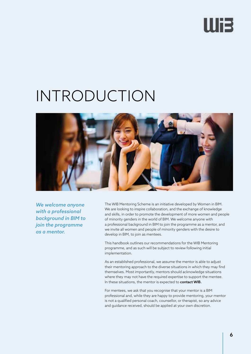## IIIE

### INTRODUCTION



*We welcome anyone with a professional background in BIM to join the programme as a mentor.*

The WIB Mentoring Scheme is an initiative developed by Women in BIM. We are looking to inspire collaboration, and the exchange of knowledge and skills, in order to promote the development of more women and people of minority genders in the world of BIM. We welcome anyone with a professional background in BIM to join the programme as a mentor, and we invite all women and people of minority genders with the desire to develop in BIM, to join as mentees.

This handbook outlines our recommendations for the WIB Mentoring programme, and as such will be subject to review following initial implementation.

As an established professional, we assume the mentor is able to adjust their mentoring approach to the diverse situations in which they may find themselves. Most importantly, mentors should acknowledge situations where they may not have the required expertise to support the mentee. In these situations, the mentor is expected to contact WIB.

For mentees, we ask that you recognise that your mentor is a BIM professional and, while they are happy to provide mentoring, your mentor is not a qualified personal coach, counsellor, or therapist, so any advice and guidance received, should be applied at your own discretion.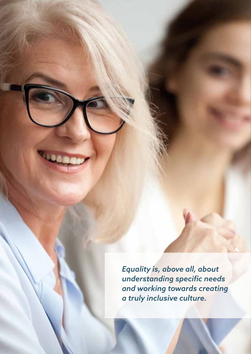*Equality is, above all, about understanding specific needs and working towards creating a truly inclusive culture.*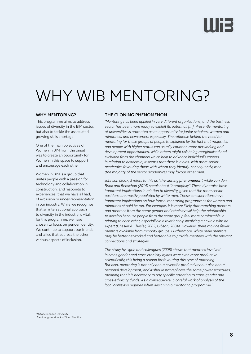# lliə

## WHY WIB MENTORING?

#### WHY MENTORING?

This programme aims to address issues of diversity in the BIM sector, but also to tackle the associated growing skills shortage.

One of the main objectives of Women in BIM from the onset was to create an opportunity for Women in this space to support and encourage each other.

Women in BIM is a group that unites people with a passion for technology and collaboration in construction, and responds to experiences, that we have all had, of exclusion or under-representation in our industry. While we recognise that an intersectional approach to diversity in the industry is vital, for this programme, we have chosen to focus on gender identity. We continue to support our friends and allies that address the other various aspects of inclusion.

### THE CLONING PHENOMENON

*'Mentoring has been applied in very different organisations, and the business sector has been more ready to exploit its potential. [...]. Presently mentoring at universities is promoted as an opportunity for junior scholars, women and minorities, and newcomers especially. The rationale behind the need for mentoring for these groups of people is explained by the fact that majorities and people with higher status can usually count on more networking and development opportunities, while others might risk being marginalised and excluded from the channels which help to advance individual's careers. In relation to academia, it seems that there is a bias, with more senior academics favouring those with whom they identify, consequently, men (the majority of the senior academics) may favour other men.* 

*Johnson (2007) 3 refers to this as "the cloning phenomenon", while van den Brink and Benschop (2014) speak about "homophily". These dynamics have important implications in relation to diversity, given that the more senior positions are mostly populated by white men. These considerations have important implications on how formal mentoring programmes for women and minorities should be run. For example, it is more likely that matching mentors and mentees from the same gender and ethnicity will help the relationship to develop because people from the same group feel more comfortable in relating to each other, especially in a relationship involving a newbie with an expert (Chesler & Chesler, 2002; Gibson, 2004). However, there may be fewer mentors available from minority groups. Furthermore, white male mentors may be better networked and better able to provide mentees with the relevant connections and strategies.* 

*The study by Ugrin and colleagues (2008) shows that mentees involved in cross-gender and cross ethnicity dyads were even more productive scientifically, this being a reason for favouring this type of matching. But also, mentoring is not only about scientific productivity but also about personal development, and it should not replicate the same power structures, meaning that it is necessary to pay specific attention to cross-gender and cross-ethnicity dyads. As a consequence, a careful work of analysis of the local context is required when designing a mentoring programme.' <sup>1</sup>*

*<sup>1</sup> Birkbeck London University - Mentoring Handbook of Good Practice*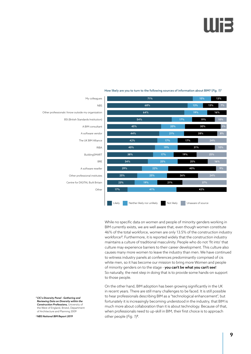

#### How likely are you to turn to the following sources of information about BIM? (*Fig. 1*)3

While no specific data on women and people of minority genders working in BIM currently exists, we are well aware that, even though women constitute 46% of the total workforce, women are only 13.5% of the construction industry workforce*<sup>2</sup>* . Furthermore, it is reported widely that the construction industry maintains a culture of traditional masculinity. People who do not 'fit into' that culture may experience barriers to their career development. This culture also causes many more women to leave the industry than men. We have continued to witness industry panels at conferences predominantly comprised of cis white men, so it has become our mission to bring more Women and people of minority genders on to the stage - you can't be what you can't see! So naturally, the next step in doing that is to provide some hands-on support to those people.

On the other hand, BIM adoption has been growing significantly in the UK in recent years. There are still many challenges to be faced. It is still possible to hear professionals describing BIM as a "technological enhancement", but fortunately it is increasingly becoming understood in the industry, that BIM is much more about collaboration than it is about technology. Because of that, when professionals need to up-skill in BIM, their first choice is to approach other people (*Fig. 1*) *3* .

*2CIC's Diversity Panel - Gathering and Reviewing Data on Diversity within the Construction Professions,* University of the West of England, Bristol, Department of Architecture and Planning 2009

*3NBS National BIM Report 2019*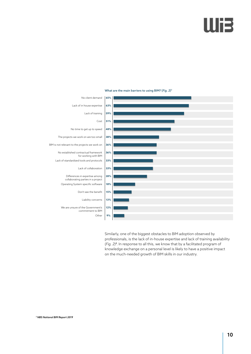## Illi3



#### What are the main barriers to using BIM? (*Fig. 2*)3

Similarly, one of the biggest obstacles to BIM adoption observed by professionals, is the lack of in-house expertise and lack of training availability (*Fig. 2*) *3* . In response to all this, we know that by a facilitated program of knowledge exchange on a personal level is likely to have a positive impact on the much-needed growth of BIM skills in our industry.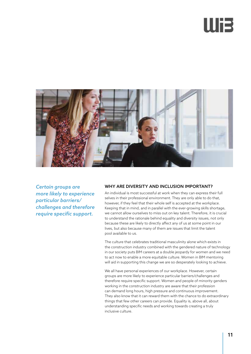# llis



*Certain groups are more likely to experience particular barriers/ challenges and therefore require specific support.*

#### WHY ARE DIVERSITY AND INCLUSION IMPORTANT?

An individual is most successful at work when they can express their full selves in their professional environment. They are only able to do that, however, if they feel that their whole self is accepted at the workplace. Keeping that in mind, and in parallel with the ever-growing skills shortage, we cannot allow ourselves to miss out on key talent. Therefore, it is crucial to understand the rationale behind equality and diversity issues, not only because these are likely to directly affect any of us at some point in our lives, but also because many of them are issues that limit the talent pool available to us.

The culture that celebrates traditional masculinity alone which exists in the construction industry combined with the gendered nature of technology in our society puts BIM careers at a double jeopardy for women and we need to act now to enable a more equitable culture. Women in BIM mentoring will aid in supporting this change we are so desperately looking to achieve.

We all have personal experiences of our workplace. However, certain groups are more likely to experience particular barriers/challenges and therefore require specific support. Women and people of minority genders working in the construction industry are aware that their profession can demand long hours, high pressure and continuous improvement. They also know that it can reward them with the chance to do extraordinary things that few other careers can provide. Equality is, above all, about understanding specific needs and working towards creating a truly inclusive culture.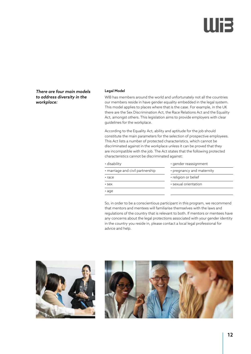# liR

*There are four main models to address diversity in the workplace:*

#### Legal Model

WIB has members around the world and unfortunately not all the countries our members reside in have gender equality embedded in the legal system. This model applies to places where that is the case. For example, in the UK there are the Sex Discrimination Act, the Race Relations Act and the Equality Act, amongst others. This legislation aims to provide employers with clear guidelines for the workplace.

According to the Equality Act, ability and aptitude for the job should constitute the main parameters for the selection of prospective employees. This Act lists a number of protected characteristics, which cannot be discriminated against in the workplace unless it can be proved that they are incompatible with the job. The Act states that the following protected characteristics cannot be discriminated against:

| • disability                     | • gender reassignment     |
|----------------------------------|---------------------------|
| • marriage and civil partnership | • pregnancy and maternity |
| $\cdot$ race                     | • religion or belief      |
| $\cdot$ sex                      | • sexual orientation      |
| $\cdot$ age                      |                           |

So, in order to be a conscientious participant in this program, we recommend that mentors and mentees will familiarise themselves with the laws and regulations of the country that is relevant to both. If mentors or mentees have any concerns about the legal protections associated with your gender identity in the country you reside in, please contact a local legal professional for advice and help.



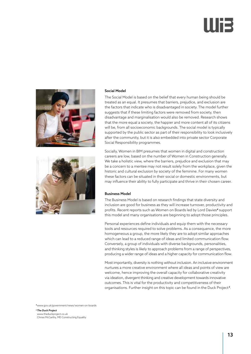



#### Social Model

The Social Model is based on the belief that every human being should be treated as an equal. It presumes that barriers, prejudice, and exclusion are the factors that indicate who is disadvantaged in society. The model further suggests that if these limiting factors were removed from society, then disadvantage and marginalisation would also be removed. Research shows that the more equal a society, the happier and more content all of its citizens will be, from all socioeconomic backgrounds. The social model is typically supported by the public sector as part of their responsibility to look inclusively after the community, but it is also embedded into private sector Corporate Social Responsibility programmes.

Socially, Women in BIM presumes that women in digital and construction careers are low, based on the number of Women in Construction generally. We take a holistic view, where the barriers, prejudice and exclusion that may be a concern to a mentee may not result solely from the workplace, given the historic and cultural exclusion by society of the feminine. For many women these factors can be situated in their social or domestic environments, but may influence their ability to fully participate and thrive in their chosen career.

#### Business Model

The Business Model is based on research findings that state diversity and inclusion are good for business as they will increase turnover, productivity and profits. Recent reports such as Women on Boards led by Lord Davies*<sup>4</sup>* support this model and many organisations are beginning to adopt those principles.

Personal experiences define individuals and equip them with the necessary tools and resources required to solve problems. As a consequence, the more homogeneous a group, the more likely they are to adopt similar approaches which can lead to a reduced range of ideas and limited communication flow. Conversely, a group of individuals with diverse backgrounds, personalities, and thinking styles is likely to approach problems from a range of perspectives, producing a wider range of ideas and a higher capacity for communication flow.

Most importantly, diversity is nothing without inclusion. An inclusive environment nurtures a more creative environment where all ideas and points of view are welcome, hence improving the overall capacity for collaborative creativity via ideation, divergent thinking and creative development towards innovative outcomes. This is vital for the productivity and competitiveness of their organisations. Further insight on this topic can be found in the Duck Project<sup>s</sup>.

*<sup>4</sup>*www.gov.uk/government/news/women-on-boards

*5The Duck Project*

www.theduckproject.co.uk Chrissi McCarthy, MD Constructing Equality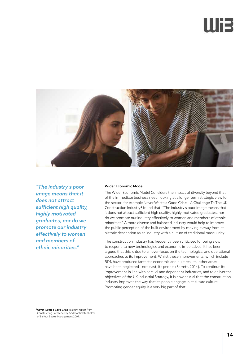## IIIE



*"The industry's poor image means that it does not attract sufficient high quality, highly motivated graduates, nor do we promote our industry effectively to women and members of ethnic minorities."*

#### Wider Economic Model

The Wider Economic Model Considers the impact of diversity beyond that of the immediate business need, looking at a longer term strategic view for the sector; for example Never Waste a Good Crisis - A Challenge To The UK Construction Industry *<sup>6</sup>* found that: "The industry's poor image means that it does not attract sufficient high quality, highly motivated graduates, nor do we promote our industry effectively to women and members of ethnic minorities." A more diverse and balanced industry would help to improve the public perception of the built environment by moving it away from its historic description as an industry with a culture of traditional masculinity.

The construction industry has frequently been criticised for being slow to respond to new technologies and economic imperatives. It has been argued that this is due to an over-focus on the technological and operational approaches to its improvement. Whilst these improvements, which include BIM, have produced fantastic economic and built results, other areas have been neglected - not least, its people (Barrett, 2014). To continue its improvement in line with parallel and dependent industries, and to deliver the objectives of the UK Industrial Strategy, it is now crucial that the construction industry improves the way that its people engage in its future culture. Promoting gender equity is a very big part of that.

*6Never Waste a Good Crisis* is a new report from Constructing Excellence by Andrew Wolstenholme of Balfour Beatty Management 2009.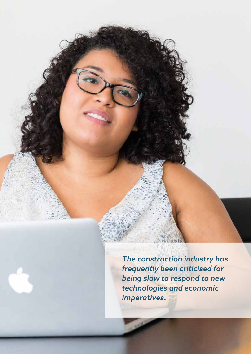*The construction industry has frequently been criticised for being slow to respond to new technologies and economic imperatives.*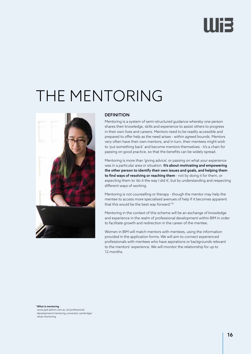# IIIE

## THE MENTORING



#### **DEFINITION**

Mentoring is a system of semi-structured guidance whereby one person shares their knowledge, skills and experience to assist others to progress in their own lives and careers. Mentors need to be readily accessible and prepared to offer help as the need arises - within agreed bounds. Mentors very often have their own mentors, and in turn, their mentees might wish to 'put something back' and become mentors themselves - it's a chain for passing on good practice, so that the benefits can be widely spread.

Mentoring is more than 'giving advice', or passing on what your experience was in a particular area or situation. It's about motivating and empowering the other person to identify their own issues and goals, and helping them to find ways of resolving or reaching them - not by doing it for them, or expecting them to 'do it the way I did it', but by understanding and respecting different ways of working.

Mentoring is not counselling or therapy - though the mentor may help the mentee to access more specialised avenues of help if it becomes apparent that this would be the best way forward." *<sup>7</sup>*

Mentoring in the context of this scheme will be an exchange of knowledge and experience in the realm of professional development within BIM in order to facilitate growth and redirection in the career of the mentee.

Women in BIM will match mentors with mentees, using the information provided in the application forms. We will aim to connect experienced professionals with mentees who have aspirations or backgrounds relevant to the mentors' experience. We will monitor the relationship for up to 12 months.

*7What is mentoring*

www.ppd.admin.cam.ac.uk/professionaldevelopment/mentoring-university-cambridge/ what-mentoring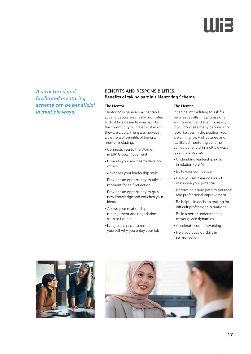# Ili3

*A structured and facilitated mentoring scheme can be beneficial in multiple ways.*

### BENEFITS AND RESPONSIBILITIES Benefits of taking part in a Mentoring Scheme

#### The Mentor

Mentoring is generally a charitable act and people are mainly motivated to do it by a desire to give back to the community or industry of which they are a part. There are, however, a plethora of benefits of being a mentor, including:

- Connects you to the Women in BIM Global Movement
- Expands your abilities to develop others
- Advances your leadership style
- Provides an opportunity to take a moment for self-reflection
- Provides an opportunity to gain new knowledge and enriches your ideas
- Allows your relationship management and negotiation skills to flourish
- Is a great chance to remind yourself why you enjoy your job

#### The Mentee

It can be intimidating to ask for help, especially in a professional environment and even more so, if you don't see many people who look like you, in the position you are aiming for. A structured and facilitated mentoring scheme can be beneficial in multiple ways, it can help you to:

- Understand leadership skills in relation to BIM
- Build your confidence
- Help you set clear goals and maximise your potential
- Determine a sure path to personal and professional improvement
- Be helpful in decision making for difficult professional situations
- Build a better understanding of workplace dynamics
- Accelerate your networking
- Help you develop skills in self-reflection



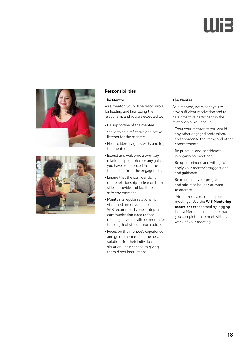



#### Responsibilities

#### The Mentor

As a mentor, you will be responsible for leading and facilitating the relationship and you are expected to:

- Be supportive of the mentee
- Strive to be a reflective and active listener for the mentee
- Help to identify goals with, and for, the mentee
- Expect and welcome a two-way relationship; emphasise any gains you have experienced from the time spent from the engagement
- Ensure that the confidentiality of the relationship is clear on both sides - provide and facilitate a safe environment
- Maintain a regular relationship via a medium of your choice. WIB recommends one in-depth communication (face to face meeting or video call) per month for the length of six communications
- Focus on the mentee's experience and guide them to find the best solutions for their individual situation - as opposed to giving them direct instructions.

#### The Mentee

As a mentee, we expect you to have sufficient motivation and to be a proactive participant in the relationship. You should:

- Treat your mentor as you would any other engaged professional and appreciate their time and other commitments
- Be punctual and considerate in organising meetings
- Be open-minded and willing to apply your mentor's suggestions and guidance
- Be mindful of your progress and prioritise issues you want to address
- Aim to keep a record of your meetings. Use the WIB Mentoring record sheet accessed by logging in as a Member, and ensure that you complete this sheet within a week of your meeting.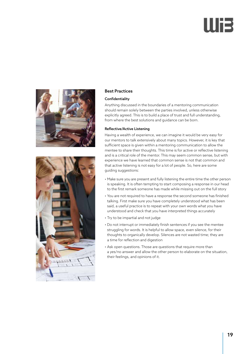# lli3





#### Best Practices

#### Confidentiality

Anything discussed in the boundaries of a mentoring communication should remain solely between the parties involved, unless otherwise explicitly agreed. This is to build a place of trust and full understanding, from where the best solutions and guidance can be born.

#### Reflective/Active Listening

Having a wealth of experience, we can imagine it would be very easy for our mentors to talk extensively about many topics. However, it is key that sufficient space is given within a mentoring communication to allow the mentee to share their thoughts. This time is for active or reflective listening and is a critical role of the mentor. This may seem common sense, but with experience we have learned that common sense is not that common and that active listening is not easy for a lot of people. So, here are some guiding suggestions:

- Make sure you are present and fully listening the entire time the other person is speaking. It is often tempting to start composing a response in our head to the first remark someone has made while missing out on the full story
- You are not required to have a response the second someone has finished talking. First make sure you have completely understood what has been said, a useful practice is to repeat with your own words what you have understood and check that you have interpreted things accurately
- Try to be impartial and not judge
- Do not interrupt or immediately finish sentences if you see the mentee struggling for words. It is helpful to allow space, even silence, for their thoughts to organically develop. Silences are not wasted time; they are a time for reflection and digestion
- Ask open questions. Those are questions that require more than a yes/no answer and allow the other person to elaborate on the situation, their feelings, and opinions of it.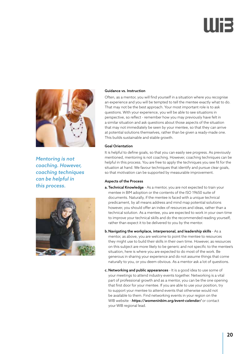

*Mentoring is not coaching. However, coaching techniques can be helpful in this process.*



#### Guidance vs. Instruction

Often, as a mentor, you will find yourself in a situation where you recognise an experience and you will be tempted to tell the mentee exactly what to do. That may not be the best approach. Your most important role is to ask questions. With your experience, you will be able to see situations in perspective, so reflect - remember how you may previously have felt in a similar situation and ask questions about those aspects of the situation that may not immediately be seen by your mentee, so that they can arrive at potential solutions themselves, rather than be given a ready-made one. This builds sustainable and stable growth.

#### Goal Orientation

It is helpful to define goals, so that you can easily see progress. As previously mentioned, mentoring is not coaching. However, coaching techniques can be helpful in this process. You are free to apply the techniques you see fit for the situation at hand. We favour techniques that identify and pursue clear goals, so that motivation can be supported by measurable improvement.

#### Aspects of the Process

- a. Technical Knowledge As a mentor, you are not expected to train your mentee in BIM adoption or the contents of the ISO 19650 suite of documents. Naturally, if the mentee is faced with a unique technical predicament, by all means address and mind map potential solutions however, you should offer an index of resources and ideas, rather than a technical solution. As a mentee, you are expected to work in your own time to improve your technical skills and do the recommended reading yourself, rather than expect it to be delivered to you by the mentor.
- b.Navigating the workplace, interpersonal, and leadership skills As a mentor, as above, you are welcome to point the mentee to resources they might use to build their skills in their own time. However, as resources on this subject are more likely to be generic and not specific to the mentee's situation, here is where you are expected to do most of the work. Be generous in sharing your experience and do not assume things that come naturally to you, or you deem obvious. As a mentor ask a lot of questions.
- c. Networking and public appearances It is a good idea to use some of your meetings to attend industry events together. Networking is a vital part of professional growth and as a mentor, you can be the one opening that first door for your mentee. If you are able to use your position, try to support your mentee to attend events that otherwise would not be available to them. Find networking events in your region on the WIB website - *https://womeninbim.org/event-calendar/* or contact your WIB regional lead.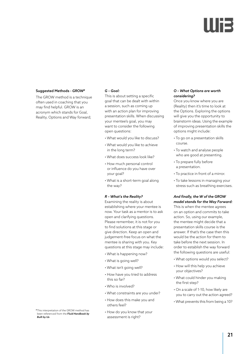### Suggested Methods - *GROW8*

The GROW method is a technique often used in coaching that you may find helpful. GROW is an acronym which stands for Goal, Reality, Options and Way forward;

#### *G – Goal:*

This is about setting a specific goal that can be dealt with within a session, such as coming up with an action plan for improving presentation skills. When discussing your mentee's goal, you may want to consider the following open questions:

- What would you like to discuss?
- What would you like to achieve in the long term?
- What does success look like?
- How much personal control or influence do you have over your goal?
- What is a short-term goal along the way?

#### *R – What's the Reality?*

Examining the reality is about establishing where your mentee is now. Your task as a mentor is to ask open and clarifying questions. Please remember, it is not for you to find solutions at this stage or give direction. Keep an open and judgement-free focus on what the mentee is sharing with you. Key questions at this stage may include:

- What is happening now?
- What is going well?
- What isn't going well?
- How have you tried to address this so far?
- Who is involved?
- What constraints are you under?
- How does this make you and others feel?
- How do you know that your assessment is right?

#### *O – What Options are worth considering?*

Once you know where you are (Reality) then it's time to look at the Options. Exploring the options will give you the opportunity to brainstorm ideas. Using the example of improving presentation skills the options might include:

- To go on a presentation skills course.
- To watch and analyse people who are good at presenting.
- To prepare fully before a presentation.
- To practice in front of a mirror.
- To take lessons in managing your stress such as breathing exercises.

#### *And finally, the W of the GROW model stands for the Way Forward:*

This is when the mentee agrees on an option and commits to take action. So, using our example, the mentee might decide that a presentation skills course is the answer. If that's the case then this would be the action for them to take before the next session. In order to establish the way forward the following questions are useful:

- What options would you select?
- How will this help you achieve your objectives?
- What could hinder you making the first step?
- On a scale of 1-10, how likely are you to carry out the action agreed?
- What prevents this from being a 10?

*<sup>8</sup>* This interpretation of the GROW method has been referenced from the *Fluid Handbook by Built by Us*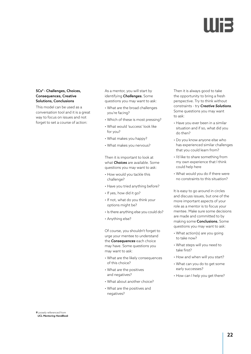#### 5Cs*<sup>9</sup>* - Challenges, Choices, Consequences, Creative Solutions, Conclusions

This model can be used as a conversation tool and it is a great way to focus on issues and not forget to set a course of action:

As a mentor, you will start by identifying *Challenges.* Some questions you may want to ask:

- What are the broad challenges you're facing?
- Which of these is most pressing?
- What would 'success' look like for you?
- What makes you happy?
- What makes you nervous?

Then it is important to look at what *Choices* are available. Some questions you may want to ask:

- How would you tackle this challenge?
- Have you tried anything before?
- If yes, how did it go?
- If not, what do you think your options might be?
- Is there anything else you could do?
- Anything else?

Of course, you shouldn't forget to urge your mentee to understand the *Consequences* each choice may have. Some questions you may want to ask:

- What are the likely consequences of this choice?
- What are the positives and negatives?
- What about another choice?
- What are the positives and negatives?

Then it is always good to take the opportunity to bring a fresh perspective. Try to think without constraints - try *Creative Solutions*. Some questions you may want to ask:

- Have you ever been in a similar situation and if so, what did you do then?
- Do you know anyone else who has experienced similar challenges that you could learn from?
- I'd like to share something from my own experience that I think could help here
- What would you do if there were no constraints to this situation?

It is easy to go around in circles and discuss issues, but one of the more important aspects of your role as a mentor is to focus your mentee. Make sure some decisions are made and committed to by making some Conclusions. Some questions you may want to ask:

- What action(s) are you going to take now?
- What steps will you need to take first?
- How and when will you start?
- What can you do to get some early successes?
- How can I help you get there?

*9*Loosely referenced from *UCL Mentoring HandBook*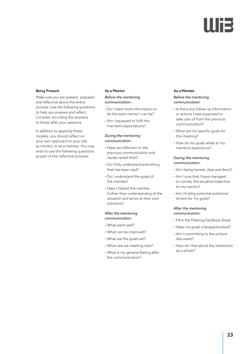### Being Present

Make sure you are present, prepared and reflective about the entire process. Use the following questions to help you prepare and reflect. Consider recording the answers to those after your sessions.

In addition to applying these models, you should reflect on your own approach to your role as mentor, or as a mentee. You may wish to use the following questions as part of this reflective process:

#### As a Mentor

#### *Before the mentoring communication:*

- Do I need more information to be the best mentor I can be?
- Am I equipped to fulfil the mentee's expectations?

#### *During the mentoring communication:*

- Have we reflected on the previous communication and issues raised then?
- Do I fully understand everything that has been said?
- Do I understand the goals of the mentee?
- Have I helped the mentee further their understanding of the situation and arrive at their own solutions?

#### *After the mentoring communication:*

- What went well?
- What can be improved?
- What are the goals set?
- When are we meeting next?
- What is my general feeling after the communication?

#### As a Mentee

#### *Before the mentoring communication:*

- Is there any follow-up information or actions I was supposed to take care of from the previous communication?
- What are my specific goals for this meeting?
- How do my goals relate to my mentor's experience?

#### *During the mentoring communication:*

- Am I being honest, clear and direct?
- Am I sure that I have managed to convey the situation/objective to my mentor?
- Am I finding potential solutions/ drivers for my goals?

#### *After the mentoring communication:*

- Fill in the Meeting Feedback Sheet
- Have my goals changed/evolved?
- Am I committing to the actions discussed?
- How do I feel about the interaction as a whole?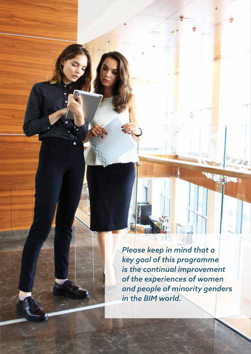*Please keep in mind that a key goal of this programme is the continual improvement of the experiences of women and people of minority genders in the BIM world.*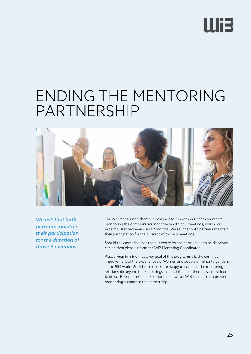## **Wi3**

### ENDING THE MENTORING PARTNERSHIP



*We ask that both partners maintain their participation for the duration of those 6 meetings.*

The WIB Mentoring Scheme is designed to run with WIB team members monitoring the communication for the length of 6 meetings, which we expect to last between 6 and 9 months. We ask that both partners maintain their participation for the duration of those 6 meetings.

Should the case arise that there is desire for the partnership to be dissolved earlier, then please inform the WIB Mentoring Coordinator.

Please keep in mind that a key goal of this programme is the continual improvement of the experiences of Women and people of minority genders in the BIM world. So, if both parties are happy to continue the mentoring relationship beyond the 6 meetings initially intended, then they are welcome to do so. Beyond the initial 6-9 months, however WIB is not able to provide monitoring support to the partnership.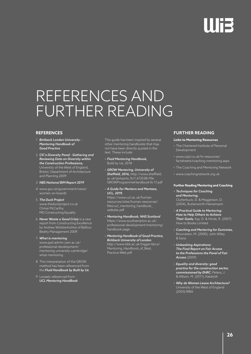### REFERENCES AND FURTHER READING

### **REFERENCES**

- 1 *Birkbeck London University Mentoring Handbook of Good Practice*
- 2 *CIC's Diversity Panel Gathering and Reviewing Data on Diversity within the Construction Professions,* University of the West of England, Bristol, Department of Architecture and Planning 2009

#### 3 *NBS National BIM Report 2019*

- 4 www.gov.uk/government/news/ women-on-boards
- 5 *The Duck Project* www.theduckproject.co.uk Chrissi McCarthy, MD Constructing Equality
- 6 *Never Waste a Good Crisis* is a new report from Constructing Excellence by Andrew Wolstenholme of Balfour Beatty Management 2009.
- 7 *What is mentoring* www.ppd.admin.cam.ac.uk/ professional-development/ mentoring-university-cambridge/ what-mentoring
- 8 This interpretation of the GROW method has been referenced from the *Fluid Handbook by Built by Us*
- 9 Loosely referenced from *UCL Mentoring HandBook*

This guide has been inspired by several other mentoring handbooks that may not have been directly quoted in the text. These include:

- *Fluid Mentoring Handbook,* Build by Us, 2018
- *GROW Mentoring, University of Sheffield, 2016,* http://www.sheffield. ac.uk/polopoly\_fs/1.672538!/file GROWProgrammeHandbook16-17.pdf
- *A Guide for Mentors and Mentees, UCL, 2019,*  https://www.ucl.ac.uk/humanresources/sites/human-resources/ files/ucl\_mentoring\_handbook\_ website.pdf
- *Mentoring Handbook, NHS Scotland* https://www.southampton.ac.uk/ professional-development/mentoring/ handbook.page
- *Mentoring Handbook of Good Practice, Birkbeck University of London* http://www.bbk.ac.uk/trigger/docs/ Mentoring\_Handbook\_of\_Best\_ Practice-Web.pdf

### **FURTHER READING**

#### **Links to Mentoring Resources**

- The Chartered Institute of Personal Development
- www.cipd.co.uk/hr-resources/ factsheets/coaching-mentoring.aspx
- The Coaching and Mentoring Network
- www.coachingnetwork.org.uk

#### **Further Reading Mentoring and Coaching**

- *Techniques for Coaching and Mentoring,*  Clutterbuck, D. & Megginson, D. (2004), Butterworth-Heinemann
- *A Practical Guide to Mentoring: How to Help Others to Achieve Their Goals,* Kay, D. & Hinds, R. (2007) How to Books Limited
- *Coaching and Mentoring for Dummies,*  Brounstein, M. (2000), John Wiley  $&$  Sons
- *Unleashing Aspirations: The Final Report on Fair Access to the Professions the Panel of Fair Access* (2009)
- *Equality and diversity: good practice for the construction sector, commissioned by EHRC.* Peters, J. & Allison, M. (2011), Katalytik
- *Why do Women Leave Architecture?*  University of the West of England (2003) RIBA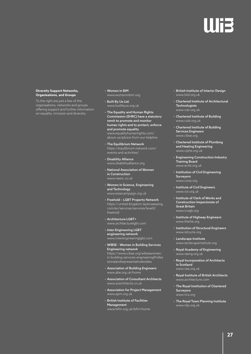#### **Diversity Support Networks, Organisations, and Groups**

To the right are just a few of the organisations, networks and groups offering support and further information on equality, inclusion and diversity.

- Women in BIM www.womeninbim.org
- Built By Us Ltd. www.builtbyus.org.uk
- The Equality and Human Rights Commission (EHRC) have a statutory remit to promote and monitor human rights and to protect, enforce and promote equality www.equalityhumanrights.com/ about-us/advice-from-our-helpline
- The Equilibrium Network https://equilibrium-network.com/ events-and-activities/
- Disability Alliance www.disabilityalliance.org
- National Association of Women in Construction www.nawic.co.uk
- Women in Science, Engineering and Technology www.wisecampaign.org.uk
- Freehold LGBT Property Network https://united-kingdom.taylorwessing. com/en/services/services/level3/ freehold
- Architecture LGBT+ www.architecturelgbt.com
- Inter-Engineering LGBT engineering network www.interengineeringlgbt.com
- WIBSE Women in Building Services Engineering network https://www.cibse.org/wibsewomenin-building-services-engineeringProfes sionalandrepresentativebodies
- Association of Building Engineers www.abe.org.uk/home
- Association of Consultant Architects www.acarchitects.co.uk
- Association for Project Management www.apm.org.uk
- British Institute of Facilities Management www.bifm.org.uk/bifm/home
- British Institute of Interior Design www.biid.org.uk
- Chartered Institute of Architectural **Technologists** www.ciat.org.uk
- Chartered Institute of Building www.ciob.org.uk
- Chartered Institute of Building Services Engineers www.cibse.org
- Chartered Institute of Plumbing and Heating Engineering www.ciphe.org.uk
- Engineering Construction Industry Training Board www.ecitb.org.uk
- Institution of Civil Engineering Surveyors www.cices.org
- Institute of Civil Engineers www.ice.org.uk
- Institute of Clerk of Works and Construction Inspectorate of Great Britain www.icwgb.org
- Institute of Highway Engineers www.theihe.org
- Institution of Structural Engineers www.istructe.org
- Landscape Institute www.landscapeinstitute.org
- Royal Academy of Engineering www.raeng.org.uk
- Royal Incorporation of Architects in Scotland www.rias.org.uk
- Royal Institute of British Architects www.architecture.com
- The Royal Institution of Chartered Surveyors www.rics.org
- The Royal Town Planning Institute www.rtpi.org.uk